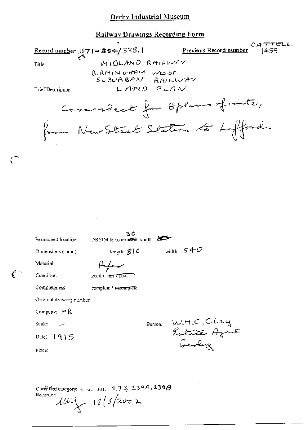## Derby Industrial Museum

## **Railway Drawings Recording Form**

CATTELL Record number  $1971 - 384/338.1$ Previous Recor<u>d number</u> MIDLAND RAILWAY Title BIRMINGHAM WEST SUBUABAN RAILWAY LAND PLAN Brief Description Commersed for 8 plans of route, from New Street Staten to Lifford.  $30$ <br>DBYIM & toom  $\blackleftrightarrow$  shelf: Permanent location width:  $540$ length:  $310$ Dimensions (mm) Material Kapen good / fair / Door Condition Completeness complete / incomplete Original drawing number Company: MR W.H.C.Clay<br>Extrate Agent<br>Devly Person: Scale: Dale:  $1915$ Place:

Classified category: 4, 721, 301, 238, 239A, 239 $\theta$ Recorder:  $1114 - 17/5/2002$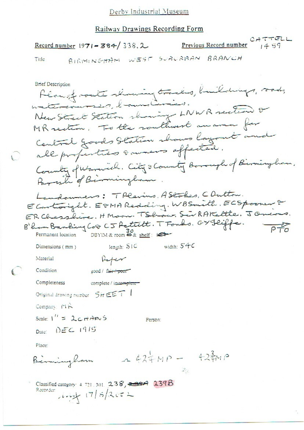| Deroy muustika museum                                                                                                                                                                                                                                                                                                                                         |
|---------------------------------------------------------------------------------------------------------------------------------------------------------------------------------------------------------------------------------------------------------------------------------------------------------------------------------------------------------------|
| <u>Railway Drawings Recording Form</u>                                                                                                                                                                                                                                                                                                                        |
| CATTELL<br>Previous Record number $14.57$<br>Record number $1971 - 384 / 338$ , 2                                                                                                                                                                                                                                                                             |
| WEST SURURBAN<br>BRANCH<br>Title<br>BIRMINGHAM                                                                                                                                                                                                                                                                                                                |
| Brief Description<br>Plan of monte relaxing tracks, buildings, roads,<br>materiannes, l'ambiences.<br>New Street Station showing LNWR section or<br>MK rection. To the routhwest manner for<br>Central goods Station shows layout and<br>all properties sammens affected.<br>County of Warwich. City & County Borough of Birmingham.<br>Parish of Birmingham. |
| Landonners: TPlevins. AStokes, COutton.<br>E Cartonight. ESMA Redding. WBSmith. ECSpooner<br>ER Chesshire. HMoon. TShow. SirRAKette. JOneous.<br>B'hom Banking Coo CJ Pettitt. TFonds. GY Feiffe.<br>$P + 0$<br>DBYIM & room $\clubsuit$ & shelf:<br>Permanent location                                                                                       |
| width: 54C<br>length: SIC<br>Dimensions (mm)                                                                                                                                                                                                                                                                                                                  |
| Material                                                                                                                                                                                                                                                                                                                                                      |
| Condition<br>good / fair + poor                                                                                                                                                                                                                                                                                                                               |
| Completeness<br>complete / incomplete-                                                                                                                                                                                                                                                                                                                        |
| Original drawing number $\frac{1}{2}H \in F$                                                                                                                                                                                                                                                                                                                  |
| Company MR                                                                                                                                                                                                                                                                                                                                                    |
| Scale: $1'' = 2c + \frac{1}{2}m$<br>Person:                                                                                                                                                                                                                                                                                                                   |
| Date: $DEC$ 1915                                                                                                                                                                                                                                                                                                                                              |

Place:

Birmingham 1274MP - 423MP  $\frac{\partial}{\partial t} \frac{\partial \phi}{\partial x^2} = \frac{\partial}{\partial x^2} \frac{\partial}{\partial x^2}$ 

Classified category: 4.721.301. 238, 238 239 239 B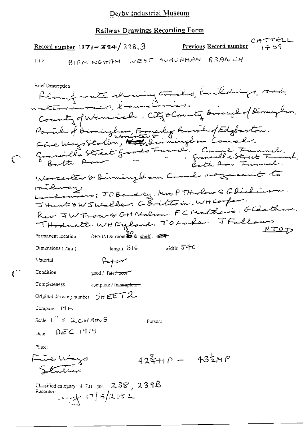## Railway Drawings Recording Form

Record number  $1971 - 384 / 338.3$ 

CATTELL<br>Previous Record number  $\begin{bmatrix} a & a \end{bmatrix}$ 

Title

ເົ

BIRMINGHAM WEST SURURBAN BRANCH

**Brief Description** féangt valte skruing tracks, kuildigs, sad, County of Warnicelle. City o County Borough of Rimingham, Parcile of Birmingham Formerly Rossil of Edgloston.<br>Five Ways Station, Hall, Berningham Comel. Fine Ways scours, 1990, 000 minuel. Campbe Francel.<br>Granville Street Goods Franklik Street Francel. Worcester & Birming ham Comel as zone to nilway. downers: JOBendrey. Nos PTHerlow Q G Dickinson. JHunt & W JWalker. C Brittoin. WH Corper. Rev JW Trouve GH Nechan. FC Mathews. GChathem. THodnett. WHFyland. TOLake. JFallow  $PTO$  $DEFINR$  room  $\overset{30}{\bullet}$  & shelf.  $\overset{4}{\bullet}$ Permanent location widzh:  $540$ length: STC Dimensions  $(mn)$ **Material**  $P$ Condition  $200d /$  fair  $\tau$  poor  $\tau$ Completeness complete / incomplete -Original drawing number  $\overline{\mathcal{I}}$ ir EET $\mathcal{I}$ Company PIR Scale:  $1'' = 2c$   $HANS$ Person: Date:  $DEC$  1975 Phice: أكست للأسبي  $42\frac{2}{3} + 10 - 43\frac{1}{2}MP$ Station Classified category: 4, 721, 301,  $2.38$ ,  $2.378$ Recorder:  $1.444$   $(7/5)2072$